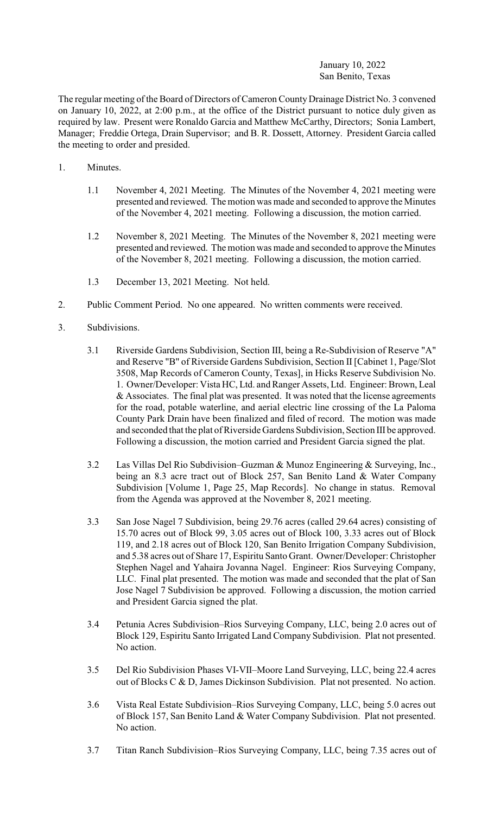## January 10, 2022 San Benito, Texas

The regular meeting of the Board of Directors of Cameron County Drainage District No. 3 convened on January 10, 2022, at 2:00 p.m., at the office of the District pursuant to notice duly given as required by law. Present were Ronaldo Garcia and Matthew McCarthy, Directors; Sonia Lambert, Manager; Freddie Ortega, Drain Supervisor; and B. R. Dossett, Attorney. President Garcia called the meeting to order and presided.

- 1. Minutes.
	- 1.1 November 4, 2021 Meeting. The Minutes of the November 4, 2021 meeting were presented and reviewed. The motion was made and seconded to approve the Minutes of the November 4, 2021 meeting. Following a discussion, the motion carried.
	- 1.2 November 8, 2021 Meeting. The Minutes of the November 8, 2021 meeting were presented and reviewed. The motion was made and seconded to approve the Minutes of the November 8, 2021 meeting. Following a discussion, the motion carried.
	- 1.3 December 13, 2021 Meeting. Not held.
- 2. Public Comment Period. No one appeared. No written comments were received.
- 3. Subdivisions.
	- 3.1 Riverside Gardens Subdivision, Section III, being a Re-Subdivision of Reserve "A" and Reserve "B" of Riverside Gardens Subdivision, Section II [Cabinet 1, Page/Slot 3508, Map Records of Cameron County, Texas], in Hicks Reserve Subdivision No. 1. Owner/Developer: Vista HC, Ltd. and Ranger Assets, Ltd. Engineer: Brown, Leal  $&$  Associates. The final plat was presented. It was noted that the license agreements for the road, potable waterline, and aerial electric line crossing of the La Paloma County Park Drain have been finalized and filed of record. The motion was made and seconded that the plat of Riverside Gardens Subdivision, Section III be approved. Following a discussion, the motion carried and President Garcia signed the plat.
	- 3.2 Las Villas Del Rio Subdivision–Guzman & Munoz Engineering & Surveying, Inc., being an 8.3 acre tract out of Block 257, San Benito Land & Water Company Subdivision [Volume 1, Page 25, Map Records]. No change in status. Removal from the Agenda was approved at the November 8, 2021 meeting.
	- 3.3 San Jose Nagel 7 Subdivision, being 29.76 acres (called 29.64 acres) consisting of 15.70 acres out of Block 99, 3.05 acres out of Block 100, 3.33 acres out of Block 119, and 2.18 acres out of Block 120, San Benito Irrigation Company Subdivision, and 5.38 acres out of Share 17, Espiritu Santo Grant. Owner/Developer: Christopher Stephen Nagel and Yahaira Jovanna Nagel. Engineer: Rios Surveying Company, LLC. Final plat presented. The motion was made and seconded that the plat of San Jose Nagel 7 Subdivision be approved. Following a discussion, the motion carried and President Garcia signed the plat.
	- 3.4 Petunia Acres Subdivision–Rios Surveying Company, LLC, being 2.0 acres out of Block 129, Espiritu Santo Irrigated Land Company Subdivision. Plat not presented. No action.
	- 3.5 Del Rio Subdivision Phases VI-VII–Moore Land Surveying, LLC, being 22.4 acres out of Blocks C & D, James Dickinson Subdivision. Plat not presented. No action.
	- 3.6 Vista Real Estate Subdivision–Rios Surveying Company, LLC, being 5.0 acres out of Block 157, San Benito Land & Water Company Subdivision. Plat not presented. No action.
	- 3.7 Titan Ranch Subdivision–Rios Surveying Company, LLC, being 7.35 acres out of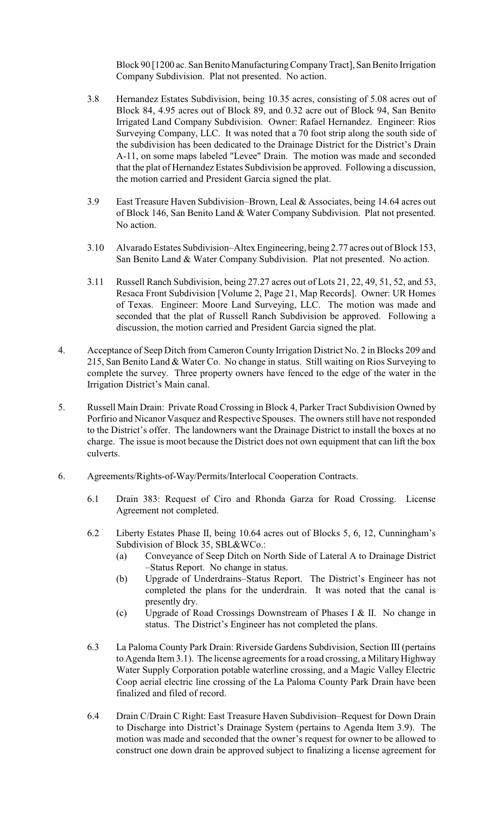Block 90 [1200 ac. San Benito Manufacturing Company Tract], San Benito Irrigation Company Subdivision. Plat not presented. No action.

- 3.8 Hernandez Estates Subdivision, being 10.35 acres, consisting of 5.08 acres out of Block 84, 4.95 acres out of Block 89, and 0.32 acre out of Block 94, San Benito Irrigated Land Company Subdivision. Owner: Rafael Hernandez. Engineer: Rios Surveying Company, LLC. It was noted that a 70 foot strip along the south side of the subdivision has been dedicated to the Drainage District for the District's Drain A-11, on some maps labeled "Levee" Drain. The motion was made and seconded that the plat of Hernandez Estates Subdivision be approved. Following a discussion, the motion carried and President Garcia signed the plat.
- 3.9 East Treasure Haven Subdivision–Brown, Leal & Associates, being 14.64 acres out of Block 146, San Benito Land & Water Company Subdivision. Plat not presented. No action.
- 3.10 Alvarado Estates Subdivision–Altex Engineering, being 2.77 acres out of Block 153, San Benito Land & Water Company Subdivision. Plat not presented. No action.
- 3.11 Russell Ranch Subdivision, being 27.27 acres out of Lots 21, 22, 49, 51, 52, and 53, Resaca Front Subdivision [Volume 2, Page 21, Map Records]. Owner: UR Homes of Texas. Engineer: Moore Land Surveying, LLC. The motion was made and seconded that the plat of Russell Ranch Subdivision be approved. Following a discussion, the motion carried and President Garcia signed the plat.
- 4. Acceptance of Seep Ditch from Cameron County Irrigation District No. 2 in Blocks 209 and 215, San Benito Land & Water Co. No change in status. Still waiting on Rios Surveying to complete the survey. Three property owners have fenced to the edge of the water in the Irrigation District's Main canal.
- 5. Russell Main Drain: Private Road Crossing in Block 4, Parker Tract Subdivision Owned by Porfirio and Nicanor Vasquez and Respective Spouses. The owners still have not responded to the District's offer. The landowners want the Drainage District to install the boxes at no charge. The issue is moot because the District does not own equipment that can lift the box culverts.
- 6. Agreements/Rights-of-Way/Permits/Interlocal Cooperation Contracts.
	- 6.1 Drain 383: Request of Ciro and Rhonda Garza for Road Crossing. License Agreement not completed.
	- 6.2 Liberty Estates Phase II, being 10.64 acres out of Blocks 5, 6, 12, Cunningham's Subdivision of Block 35, SBL&WCo.:
		- (a) Conveyance of Seep Ditch on North Side of Lateral A to Drainage District –Status Report. No change in status.
		- (b) Upgrade of Underdrains–Status Report. The District's Engineer has not completed the plans for the underdrain. It was noted that the canal is presently dry.
		- (c) Upgrade of Road Crossings Downstream of Phases I & II. No change in status. The District's Engineer has not completed the plans.
	- 6.3 La Paloma County Park Drain: Riverside Gardens Subdivision, Section III (pertains to Agenda Item 3.1). The license agreements for a road crossing, a Military Highway Water Supply Corporation potable waterline crossing, and a Magic Valley Electric Coop aerial electric line crossing of the La Paloma County Park Drain have been finalized and filed of record.
	- 6.4 Drain C/Drain C Right: East Treasure Haven Subdivision–Request for Down Drain to Discharge into District's Drainage System (pertains to Agenda Item 3.9). The motion was made and seconded that the owner's request for owner to be allowed to construct one down drain be approved subject to finalizing a license agreement for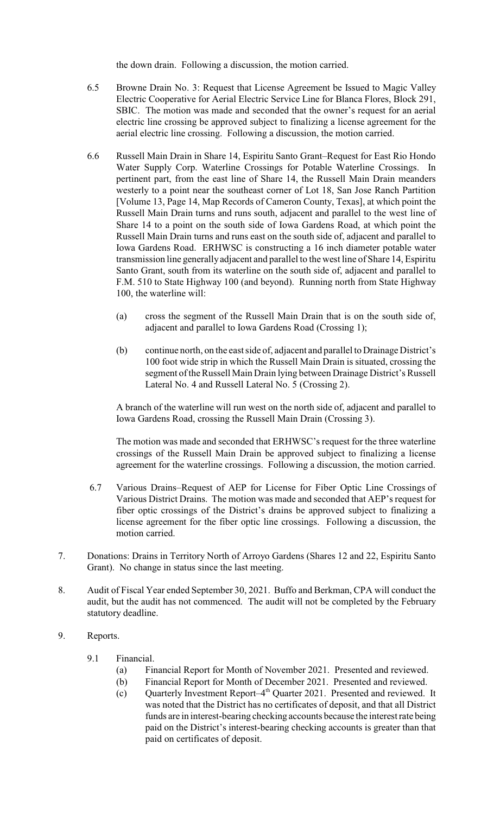the down drain. Following a discussion, the motion carried.

- 6.5 Browne Drain No. 3: Request that License Agreement be Issued to Magic Valley Electric Cooperative for Aerial Electric Service Line for Blanca Flores, Block 291, SBIC. The motion was made and seconded that the owner's request for an aerial electric line crossing be approved subject to finalizing a license agreement for the aerial electric line crossing. Following a discussion, the motion carried.
- 6.6 Russell Main Drain in Share 14, Espiritu Santo Grant–Request for East Rio Hondo Water Supply Corp. Waterline Crossings for Potable Waterline Crossings. In pertinent part, from the east line of Share 14, the Russell Main Drain meanders westerly to a point near the southeast corner of Lot 18, San Jose Ranch Partition [Volume 13, Page 14, Map Records of Cameron County, Texas], at which point the Russell Main Drain turns and runs south, adjacent and parallel to the west line of Share 14 to a point on the south side of Iowa Gardens Road, at which point the Russell Main Drain turns and runs east on the south side of, adjacent and parallel to Iowa Gardens Road. ERHWSC is constructing a 16 inch diameter potable water transmission line generallyadjacent and parallel to the west line of Share 14, Espiritu Santo Grant, south from its waterline on the south side of, adjacent and parallel to F.M. 510 to State Highway 100 (and beyond). Running north from State Highway 100, the waterline will:
	- (a) cross the segment of the Russell Main Drain that is on the south side of, adjacent and parallel to Iowa Gardens Road (Crossing 1);
	- (b) continue north, on the east side of, adjacent and parallel to Drainage District's 100 foot wide strip in which the Russell Main Drain is situated, crossing the segment of the Russell Main Drain lying between Drainage District's Russell Lateral No. 4 and Russell Lateral No. 5 (Crossing 2).

A branch of the waterline will run west on the north side of, adjacent and parallel to Iowa Gardens Road, crossing the Russell Main Drain (Crossing 3).

The motion was made and seconded that ERHWSC's request for the three waterline crossings of the Russell Main Drain be approved subject to finalizing a license agreement for the waterline crossings. Following a discussion, the motion carried.

- 6.7 Various Drains–Request of AEP for License for Fiber Optic Line Crossings of Various District Drains. The motion was made and seconded that AEP's request for fiber optic crossings of the District's drains be approved subject to finalizing a license agreement for the fiber optic line crossings. Following a discussion, the motion carried.
- 7. Donations: Drains in Territory North of Arroyo Gardens (Shares 12 and 22, Espiritu Santo Grant). No change in status since the last meeting.
- 8. Audit of Fiscal Year ended September 30, 2021. Buffo and Berkman, CPA will conduct the audit, but the audit has not commenced. The audit will not be completed by the February statutory deadline.

# 9. Reports.

- 9.1 Financial.
	- (a) Financial Report for Month of November 2021. Presented and reviewed.
	- (b) Financial Report for Month of December 2021. Presented and reviewed.
	- (c) Quarterly Investment Report– $4<sup>th</sup>$  Quarter 2021. Presented and reviewed. It was noted that the District has no certificates of deposit, and that all District funds are in interest-bearing checking accounts because the interest rate being paid on the District's interest-bearing checking accounts is greater than that paid on certificates of deposit.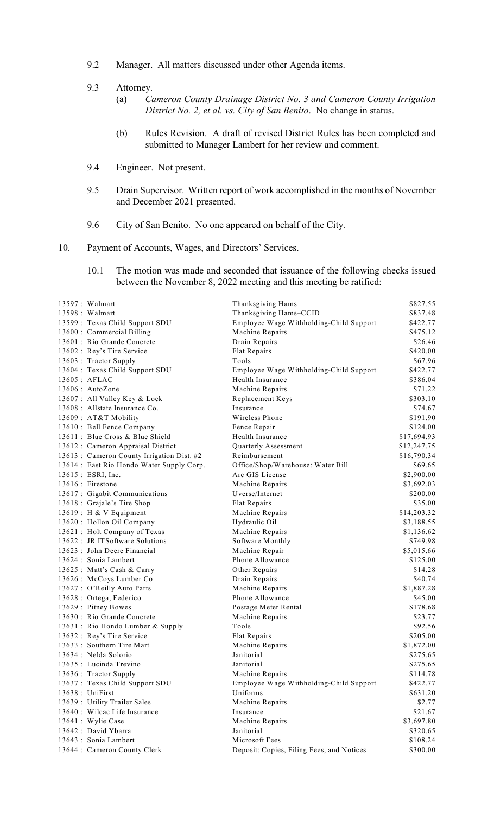- 9.2 Manager. All matters discussed under other Agenda items.
- 9.3 Attorney.
	- (a) *Cameron County Drainage District No. 3 and Cameron County Irrigation District No. 2, et al. vs. City of San Benito*. No change in status.
	- (b) Rules Revision. A draft of revised District Rules has been completed and submitted to Manager Lambert for her review and comment.
- 9.4 Engineer. Not present.
- 9.5 Drain Supervisor. Written report of work accomplished in the months of November and December 2021 presented.
- 9.6 City of San Benito. No one appeared on behalf of the City.
- 10. Payment of Accounts, Wages, and Directors' Services.
	- 10.1 The motion was made and seconded that issuance of the following checks issued between the November 8, 2022 meeting and this meeting be ratified:

| 13597: Walmart                             | Thanksgiving Hams                         | \$827.55    |
|--------------------------------------------|-------------------------------------------|-------------|
| 13598 : Walmart                            | Thanksgiving Hams-CCID                    | \$837.48    |
| 13599: Texas Child Support SDU             | Employee Wage Withholding-Child Support   | \$422.77    |
| 13600 : Commercial Billing                 | Machine Repairs                           | \$475.12    |
| 13601 : Rio Grande Concrete                | Drain Repairs                             | \$26.46     |
| 13602 : Rey's Tire Service                 | Flat Repairs                              | \$420.00    |
| 13603: Tractor Supply                      | Tools                                     | \$67.96     |
| 13604: Texas Child Support SDU             | Employee Wage Withholding-Child Support   | \$422.77    |
| 13605: AFLAC                               | Health Insurance                          | \$386.04    |
| 13606 : AutoZone                           | Machine Repairs                           | \$71.22     |
| 13607 : All Valley Key & Lock              | Replacement Keys                          | \$303.10    |
| 13608 : Allstate Insurance Co.             | Insurance                                 | \$74.67     |
| 13609: AT&T Mobility                       | Wireless Phone                            | \$191.90    |
| 13610 : Bell Fence Company                 | Fence Repair                              | \$124.00    |
| 13611 : Blue Cross & Blue Shield           | Health Insurance                          | \$17,694.93 |
| 13612 : Cameron Appraisal District         | Quarterly Assessment                      | \$12,247.75 |
| 13613 : Cameron County Irrigation Dist. #2 | Reimbursement                             | \$16,790.34 |
| 13614: East Rio Hondo Water Supply Corp.   | Office/Shop/Warehouse: Water Bill         | \$69.65     |
| 13615 : ESRI, Inc.                         | Arc GIS License                           | \$2,900.00  |
| 13616 : Firestone                          | Machine Repairs                           | \$3,692.03  |
| 13617 : Gigabit Communications             | Uverse/Internet                           | \$200.00    |
| 13618 : Grajale's Tire Shop                | Flat Repairs                              | \$35.00     |
| 13619 : H & V Equipment                    | Machine Repairs                           | \$14,203.32 |
| 13620: Hollon Oil Company                  | Hydraulic Oil                             | \$3,188.55  |
| 13621 : Holt Company of Texas              | Machine Repairs                           | \$1,136.62  |
| 13622 : JR ITSoftware Solutions            | Software Monthly                          | \$749.98    |
| 13623 : John Deere Financial               | Machine Repair                            | \$5,015.66  |
| 13624 : Sonia Lambert                      | Phone Allowance                           | \$125.00    |
| 13625 : Matt's Cash & Carry                | Other Repairs                             | \$14.28     |
| 13626 : McCoys Lumber Co.                  | Drain Repairs                             | \$40.74     |
| 13627 : O'Reilly Auto Parts                | Machine Repairs                           | \$1,887.28  |
| 13628 : Ortega, Federico                   | Phone Allowance                           | \$45.00     |
| 13629: Pitney Bowes                        | Postage Meter Rental                      | \$178.68    |
| 13630 : Rio Grande Concrete                | Machine Repairs                           | \$23.77     |
| 13631 : Rio Hondo Lumber & Supply          | Tools                                     | \$92.56     |
| 13632 : Rey's Tire Service                 | Flat Repairs                              | \$205.00    |
| 13633 : Southern Tire Mart                 | Machine Repairs                           | \$1,872.00  |
| 13634 : Nelda Solorio                      | Janitorial                                | \$275.65    |
| 13635 : Lucinda Trevino                    | Janitorial                                | \$275.65    |
| 13636: Tractor Supply                      | Machine Repairs                           | \$114.78    |
| 13637: Texas Child Support SDU             | Employee Wage Withholding-Child Support   | \$422.77    |
| $13638:$ UniFirst                          | Uniforms                                  | \$631.20    |
| 13639 : Utility Trailer Sales              | Machine Repairs                           | \$2.77      |
| 13640 : Wilcac Life Insurance              | Insurance                                 | \$21.67     |
| 13641 : Wylie Case                         | Machine Repairs                           | \$3,697.80  |
| 13642 : David Ybarra                       | Janitorial                                | \$320.65    |
| 13643 : Sonia Lambert                      | Microsoft Fees                            | \$108.24    |
| 13644 : Cameron County Clerk               | Deposit: Copies, Filing Fees, and Notices | \$300.00    |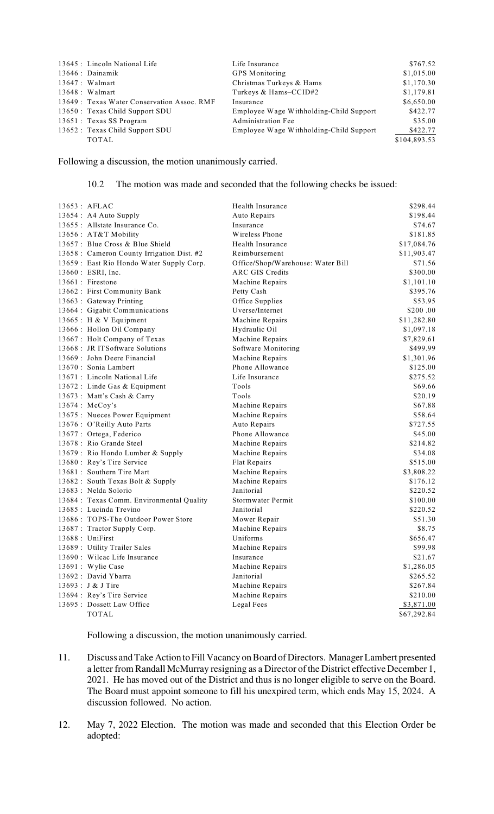| 13645 : Lincoln National Life   |                                             | Life Insurance                          | \$767.52     |
|---------------------------------|---------------------------------------------|-----------------------------------------|--------------|
| $13646$ : Dainamik              |                                             | <b>GPS</b> Monitoring                   | \$1,015.00   |
| $13647:$ Walmart                |                                             | Christmas Turkeys & Hams                | \$1,170.30   |
| $13648:$ Walmart                |                                             | Turkeys & Hams-CCID#2                   | \$1,179.81   |
|                                 | 13649 : Texas Water Conservation Assoc. RMF | Insurance                               | \$6,650.00   |
| 13650 : Texas Child Support SDU |                                             | Employee Wage Withholding-Child Support | \$422.77     |
| 13651 : Texas SS Program        |                                             | <b>Administration Fee</b>               | \$35.00      |
| 13652 : Texas Child Support SDU |                                             | Employee Wage Withholding-Child Support | \$422.77     |
| <b>TOTAL</b>                    |                                             |                                         | \$104,893.53 |

Following a discussion, the motion unanimously carried.

#### 10.2 The motion was made and seconded that the following checks be issued:

| $13653$ : AFLAC                            | Health Insurance                  | \$298.44    |
|--------------------------------------------|-----------------------------------|-------------|
| 13654 : A4 Auto Supply                     | Auto Repairs                      | \$198.44    |
| 13655 : Allstate Insurance Co.             | Insurance                         | \$74.67     |
| 13656 : AT&T Mobility                      | Wireless Phone                    | \$181.85    |
| 13657 : Blue Cross & Blue Shield           | Health Insurance                  | \$17,084.76 |
| 13658 : Cameron County Irrigation Dist. #2 | Reimbursement                     | \$11,903.47 |
| 13659 : East Rio Hondo Water Supply Corp.  | Office/Shop/Warehouse: Water Bill | \$71.56     |
| 13660 : ESRI, Inc.                         | ARC GIS Credits                   | \$300.00    |
| $13661$ : Firestone                        | Machine Repairs                   | \$1,101.10  |
| 13662 : First Community Bank               | Petty Cash                        | \$395.76    |
| 13663 : Gateway Printing                   | Office Supplies                   | \$53.95     |
| 13664 : Gigabit Communications             | Uverse/Internet                   | \$200.00    |
| 13665 : H & V Equipment                    | Machine Repairs                   | \$11,282.80 |
| 13666 : Hollon Oil Company                 | Hydraulic Oil                     | \$1,097.18  |
| 13667: Holt Company of Texas               | Machine Repairs                   | \$7,829.61  |
| 13668 : JR ITSoftware Solutions            | Software Monitoring               | \$499.99    |
| 13669 : John Deere Financial               | Machine Repairs                   | \$1,301.96  |
| 13670 : Sonia Lambert                      | Phone Allowance                   | \$125.00    |
| 13671 : Lincoln National Life              | Life Insurance                    | \$275.52    |
| 13672 : Linde Gas & Equipment              | Tools                             | \$69.66     |
| 13673 : Matt's Cash & Carry                | Tools                             | \$20.19     |
| $13674$ : McCoy's                          | Machine Repairs                   | \$67.88     |
| 13675 : Nueces Power Equipment             | Machine Repairs                   | \$58.64     |
| 13676 : O'Reilly Auto Parts                | Auto Repairs                      | \$727.55    |
| 13677 : Ortega, Federico                   | Phone Allowance                   | \$45.00     |
| 13678 : Rio Grande Steel                   | Machine Repairs                   | \$214.82    |
| 13679 : Rio Hondo Lumber & Supply          | Machine Repairs                   | \$34.08     |
| 13680 : Rey's Tire Service                 | Flat Repairs                      | \$515.00    |
| 13681 : Southern Tire Mart                 | Machine Repairs                   | \$3,808.22  |
| 13682: South Texas Bolt & Supply           | Machine Repairs                   | \$176.12    |
| 13683 : Nelda Solorio                      | Janitorial                        | \$220.52    |
| 13684 : Texas Comm. Environmental Quality  | Stormwater Permit                 | \$100.00    |
| 13685 : Lucinda Trevino                    | Janitorial                        | \$220.52    |
| 13686 : TOPS-The Outdoor Power Store       | Mower Repair                      | \$51.30     |
| 13687: Tractor Supply Corp.                | Machine Repairs                   | \$8.75      |
| 13688 : UniFirst                           | Uniforms                          | \$656.47    |
| 13689 : Utility Trailer Sales              | Machine Repairs                   | \$99.98     |
| 13690 : Wilcac Life Insurance              | Insurance                         | \$21.67     |
| 13691 : Wylie Case                         | Machine Repairs                   | \$1,286.05  |
| 13692 : David Ybarra                       | Janitorial                        | \$265.52    |
| 13693 : J & J Tire                         | Machine Repairs                   | \$267.84    |
| 13694 : Rey's Tire Service                 | Machine Repairs                   | \$210.00    |
| 13695 : Dossett Law Office                 | Legal Fees                        | \$3,871.00  |
| <b>TOTAL</b>                               |                                   | \$67,292.84 |

Following a discussion, the motion unanimously carried.

- 11. Discuss and Take Action to Fill Vacancy on Board of Directors. Manager Lambert presented a letter from Randall McMurray resigning as a Director of the District effective December 1, 2021. He has moved out of the District and thus is no longer eligible to serve on the Board. The Board must appoint someone to fill his unexpired term, which ends May 15, 2024. A discussion followed. No action.
- 12. May 7, 2022 Election. The motion was made and seconded that this Election Order be adopted: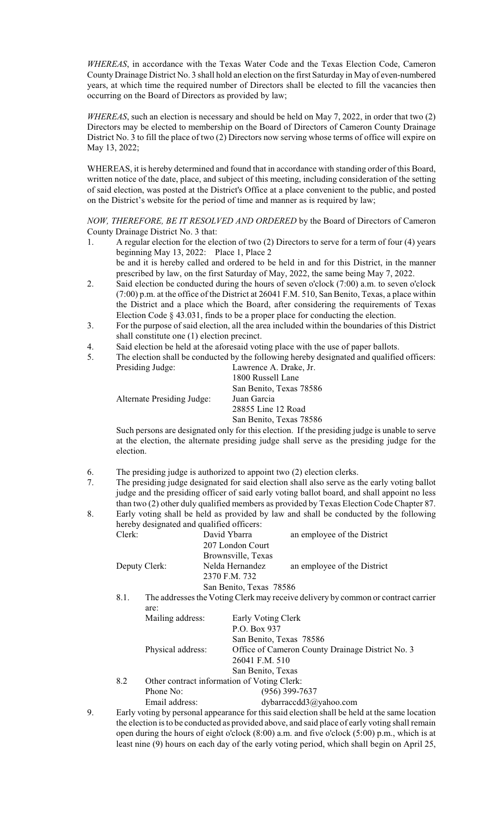*WHEREAS*, in accordance with the Texas Water Code and the Texas Election Code, Cameron County Drainage District No. 3 shall hold an election on the first Saturday in May of even-numbered years, at which time the required number of Directors shall be elected to fill the vacancies then occurring on the Board of Directors as provided by law;

*WHEREAS*, such an election is necessary and should be held on May 7, 2022, in order that two (2) Directors may be elected to membership on the Board of Directors of Cameron County Drainage District No. 3 to fill the place of two (2) Directors now serving whose terms of office will expire on May 13, 2022;

WHEREAS, it is hereby determined and found that in accordance with standing order of this Board, written notice of the date, place, and subject of this meeting, including consideration of the setting of said election, was posted at the District's Office at a place convenient to the public, and posted on the District's website for the period of time and manner as is required by law;

*NOW, THEREFORE, BE IT RESOLVED AND ORDERED* by the Board of Directors of Cameron County Drainage District No. 3 that:

1. A regular election for the election of two (2) Directors to serve for a term of four (4) years beginning May 13, 2022: Place 1, Place 2 be and it is hereby called and ordered to be held in and for this District, in the manner

prescribed by law, on the first Saturday of May, 2022, the same being May 7, 2022.

- 2. Said election be conducted during the hours of seven o'clock (7:00) a.m. to seven o'clock (7:00) p.m. at the office of the District at 26041 F.M. 510, San Benito, Texas, a place within the District and a place which the Board, after considering the requirements of Texas Election Code § 43.031, finds to be a proper place for conducting the election.
- 3. For the purpose of said election, all the area included within the boundaries of this District shall constitute one (1) election precinct.
- 4. Said election be held at the aforesaid voting place with the use of paper ballots.
- 5. The election shall be conducted by the following hereby designated and qualified officers: Presiding Judge: Lawrence A. Drake, Jr.

|                            | 1800 Russell Lane                                                                    |
|----------------------------|--------------------------------------------------------------------------------------|
|                            | San Benito, Texas 78586                                                              |
| Alternate Presiding Judge: | Juan Garcia                                                                          |
|                            | 28855 Line 12 Road                                                                   |
|                            | San Benito, Texas 78586                                                              |
|                            | Such persons are designated only for this election. If the presiding judge is unable |

Such persons are designated only for this election. If the presiding judge is unable to serve at the election, the alternate presiding judge shall serve as the presiding judge for the election.

- 6. The presiding judge is authorized to appoint two (2) election clerks.
- 7. The presiding judge designated for said election shall also serve as the early voting ballot judge and the presiding officer of said early voting ballot board, and shall appoint no less than two (2) other duly qualified members as provided by Texas Election Code Chapter 87.
- 8. Early voting shall be held as provided by law and shall be conducted by the following hereby designated and qualified officers: Clerk: David Ybarra an employee of the District

|               | UNIN. |                  | David I valla           | an employee of the District                                                       |
|---------------|-------|------------------|-------------------------|-----------------------------------------------------------------------------------|
|               |       |                  | 207 London Court        |                                                                                   |
|               |       |                  | Brownsville, Texas      |                                                                                   |
| Deputy Clerk: |       |                  | Nelda Hernandez         | an employee of the District                                                       |
|               |       |                  | 2370 F.M. 732           |                                                                                   |
|               |       |                  | San Benito, Texas 78586 |                                                                                   |
| 8.1.          |       |                  |                         | The addresses the Voting Clerk may receive delivery by common or contract carrier |
|               |       | are:             |                         |                                                                                   |
|               |       | Mailing address: | Early Voting Clerk      |                                                                                   |
|               |       |                  | P.O. Box 937            |                                                                                   |
|               |       |                  | San Benito, Texas 78586 |                                                                                   |
|               |       |                  |                         |                                                                                   |

Physical address: Office of Cameron County Drainage District No. 3

26041 F.M. 510 San Benito, Texas 8.2 Other contract information of Voting Clerk:

Phone No: (956) 399-7637 Email address: dybarraccdd3@yahoo.com

9. Early voting by personal appearance for this said election shall be held at the same location the election isto be conducted as provided above, and said place of early voting shall remain open during the hours of eight o'clock (8:00) a.m. and five o'clock (5:00) p.m., which is at least nine (9) hours on each day of the early voting period, which shall begin on April 25,